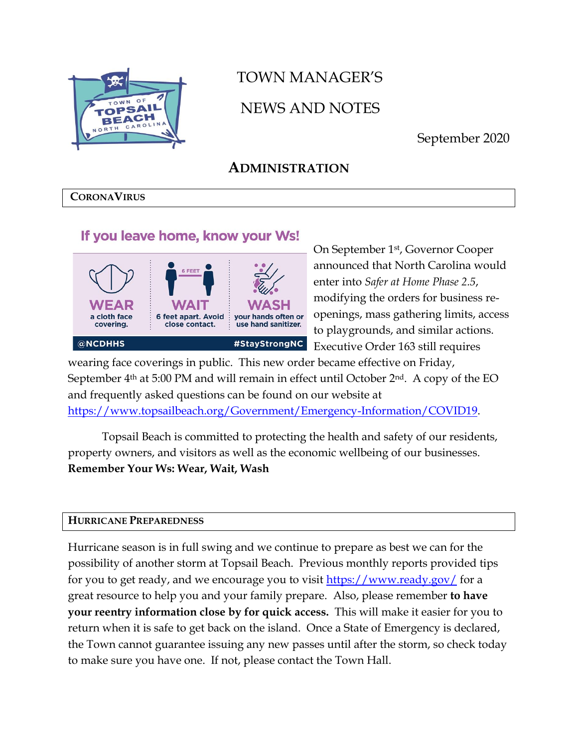

# TOWN MANAGER'S NEWS AND NOTES

September 2020

# **ADMINISTRATION**

### **CORONAVIRUS**

### If you leave home, know your Ws!



On September 1st, Governor Cooper announced that North Carolina would enter into *Safer at Home Phase 2.5*, modifying the orders for business reopenings, mass gathering limits, access to playgrounds, and similar actions. Executive Order 163 still requires

wearing face coverings in public. This new order became effective on Friday, September  $4<sup>th</sup>$  at 5:00 PM and will remain in effect until October  $2<sup>nd</sup>$ . A copy of the EO and frequently asked questions can be found on our website at [https://www.topsailbeach.org/Government/Emergency-Information/COVID19.](https://www.topsailbeach.org/Government/Emergency-Information/COVID19)

Topsail Beach is committed to protecting the health and safety of our residents, property owners, and visitors as well as the economic wellbeing of our businesses. **Remember Your Ws: Wear, Wait, Wash**

### **HURRICANE PREPAREDNESS**

Hurricane season is in full swing and we continue to prepare as best we can for the possibility of another storm at Topsail Beach. Previous monthly reports provided tips for you to get ready, and we encourage you to visit<https://www.ready.gov/> for a great resource to help you and your family prepare. Also, please remember **to have your reentry information close by for quick access.** This will make it easier for you to return when it is safe to get back on the island. Once a State of Emergency is declared, the Town cannot guarantee issuing any new passes until after the storm, so check today to make sure you have one. If not, please contact the Town Hall.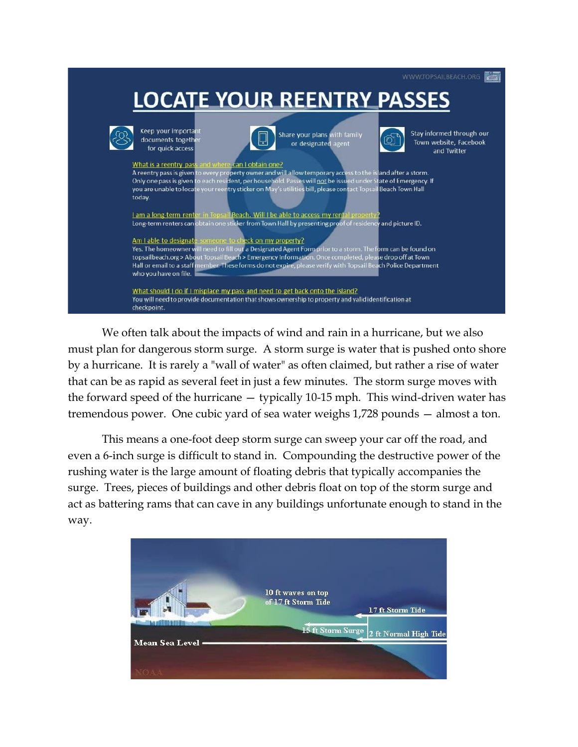

We often talk about the impacts of wind and rain in a hurricane, but we also must plan for dangerous storm surge. A storm surge is water that is pushed onto shore by a hurricane. It is rarely a "wall of water" as often claimed, but rather a rise of water that can be as rapid as several feet in just a few minutes. The storm surge moves with the forward speed of the hurricane — typically 10-15 mph. This wind-driven water has tremendous power. One cubic yard of sea water weighs 1,728 pounds — almost a ton.

This means a one-foot deep storm surge can sweep your car off the road, and even a 6-inch surge is difficult to stand in. Compounding the destructive power of the rushing water is the large amount of floating debris that typically accompanies the surge. Trees, pieces of buildings and other debris float on top of the storm surge and act as battering rams that can cave in any buildings unfortunate enough to stand in the way.

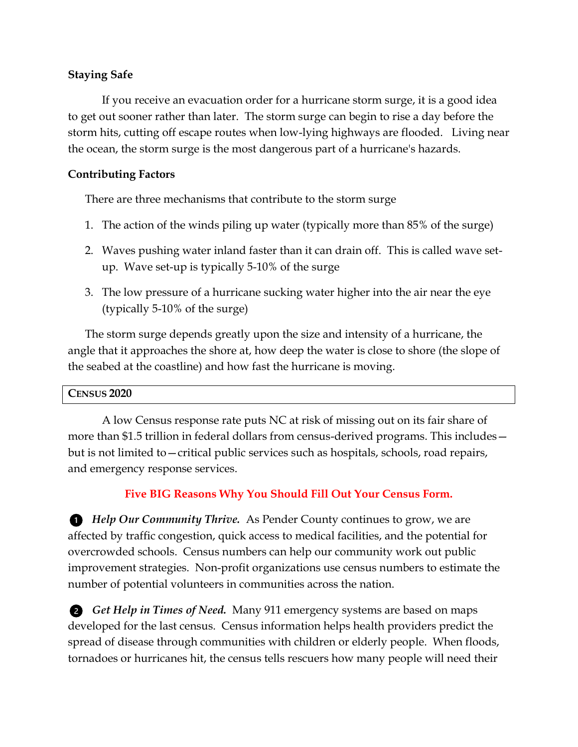### **Staying Safe**

If you receive an evacuation order for a hurricane storm surge, it is a good idea to get out sooner rather than later. The storm surge can begin to rise a day before the storm hits, cutting off escape routes when low-lying highways are flooded. Living near the ocean, the storm surge is the most dangerous part of a hurricane's hazards.

### **Contributing Factors**

There are three mechanisms that contribute to the storm surge

- 1. The action of the winds piling up water (typically more than 85% of the surge)
- 2. Waves pushing water inland faster than it can drain off. This is called wave setup. Wave set-up is typically 5-10% of the surge
- 3. The low pressure of a hurricane sucking water higher into the air near the eye (typically 5-10% of the surge)

The storm surge depends greatly upon the size and intensity of a hurricane, the angle that it approaches the shore at, how deep the water is close to shore (the slope of the seabed at the coastline) and how fast the hurricane is moving.

### **CENSUS 2020**

A low Census response rate puts NC at risk of missing out on its fair share of more than \$1.5 trillion in federal dollars from census-derived programs. This includes but is not limited to—critical public services such as hospitals, schools, road repairs, and emergency response services.

### **Five BIG Reasons Why You Should Fill Out Your Census Form.**

*Help Our Community Thrive.* As Pender County continues to grow, we are affected by traffic congestion, quick access to medical facilities, and the potential for overcrowded schools. Census numbers can help our community work out public improvement strategies. Non-profit organizations use census numbers to estimate the number of potential volunteers in communities across the nation.

*Get Help in Times of Need.* Many 911 emergency systems are based on maps developed for the last census. Census information helps health providers predict the spread of disease through communities with children or elderly people. When floods, tornadoes or hurricanes hit, the census tells rescuers how many people will need their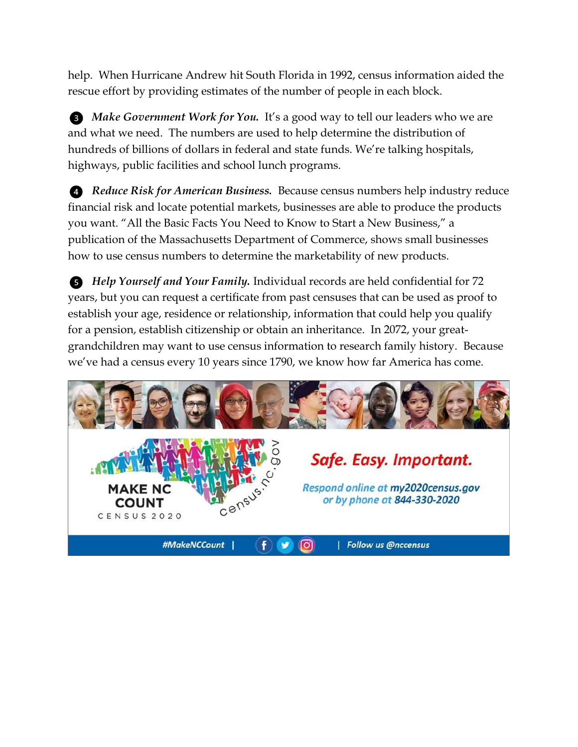help. When Hurricane Andrew hit South Florida in 1992, census information aided the rescue effort by providing estimates of the number of people in each block.

**B** Make Government Work for You. It's a good way to tell our leaders who we are and what we need. The numbers are used to help determine the distribution of hundreds of billions of dollars in federal and state funds. We're talking hospitals, highways, public facilities and school lunch programs.

*Reduce Risk for American Business.* Because census numbers help industry reduce financial risk and locate potential markets, businesses are able to produce the products you want. "All the Basic Facts You Need to Know to Start a New Business," a publication of the Massachusetts Department of Commerce, shows small businesses how to use census numbers to determine the marketability of new products.

*Help Yourself and Your Family.* Individual records are held confidential for 72 years, but you can request a certificate from past censuses that can be used as proof to establish your age, residence or relationship, information that could help you qualify for a pension, establish citizenship or obtain an inheritance. In 2072, your greatgrandchildren may want to use census information to research family history. Because we've had a census every 10 years since 1790, we know how far America has come.

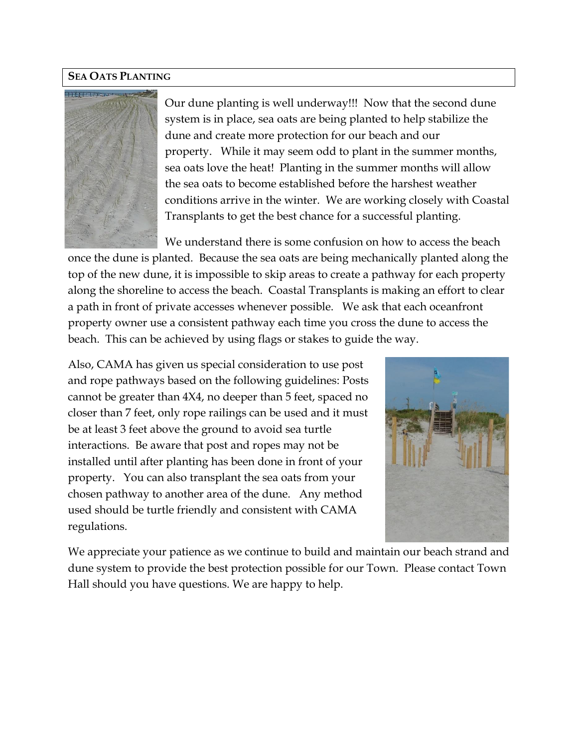### **SEA OATS PLANTING**



Our dune planting is well underway!!! Now that the second dune system is in place, sea oats are being planted to help stabilize the dune and create more protection for our beach and our property. While it may seem odd to plant in the summer months, sea oats love the heat! Planting in the summer months will allow the sea oats to become established before the harshest weather conditions arrive in the winter. We are working closely with Coastal Transplants to get the best chance for a successful planting.

We understand there is some confusion on how to access the beach once the dune is planted. Because the sea oats are being mechanically planted along the top of the new dune, it is impossible to skip areas to create a pathway for each property along the shoreline to access the beach. Coastal Transplants is making an effort to clear a path in front of private accesses whenever possible. We ask that each oceanfront property owner use a consistent pathway each time you cross the dune to access the beach. This can be achieved by using flags or stakes to guide the way.

Also, CAMA has given us special consideration to use post and rope pathways based on the following guidelines: Posts cannot be greater than 4X4, no deeper than 5 feet, spaced no closer than 7 feet, only rope railings can be used and it must be at least 3 feet above the ground to avoid sea turtle interactions. Be aware that post and ropes may not be installed until after planting has been done in front of your property. You can also transplant the sea oats from your chosen pathway to another area of the dune. Any method used should be turtle friendly and consistent with CAMA regulations.



We appreciate your patience as we continue to build and maintain our beach strand and dune system to provide the best protection possible for our Town. Please contact Town Hall should you have questions. We are happy to help.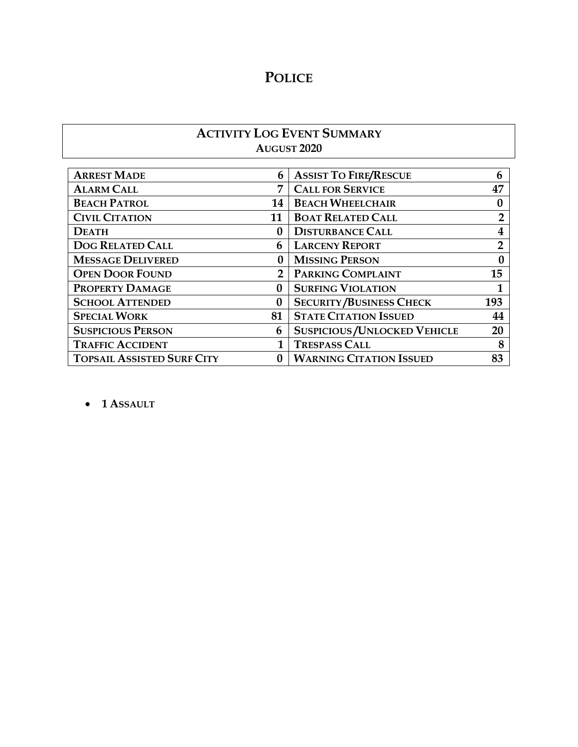# **POLICE**

### **ACTIVITY LOG EVENT SUMMARY AUGUST 2020**

| <b>ARREST MADE</b>                | 6           | <b>ASSIST TO FIRE/RESCUE</b>       | 6                       |
|-----------------------------------|-------------|------------------------------------|-------------------------|
| <b>ALARM CALL</b>                 | 7           | <b>CALL FOR SERVICE</b>            | 47                      |
| <b>BEACH PATROL</b>               | 14          | <b>BEACH WHEELCHAIR</b>            |                         |
| <b>CIVIL CITATION</b>             | 11          | <b>BOAT RELATED CALL</b>           | $\overline{2}$          |
| <b>DEATH</b>                      | $\bf{0}$    | <b>DISTURBANCE CALL</b>            | $\overline{\mathbf{4}}$ |
| <b>DOG RELATED CALL</b>           | 6           | <b>LARCENY REPORT</b>              | $\overline{2}$          |
| <b>MESSAGE DELIVERED</b>          | 0           | <b>MISSING PERSON</b>              |                         |
| <b>OPEN DOOR FOUND</b>            | $2^{\circ}$ | PARKING COMPLAINT                  | 15                      |
| PROPERTY DAMAGE                   | $\bf{0}$    | <b>SURFING VIOLATION</b>           |                         |
| <b>SCHOOL ATTENDED</b>            | $\bf{0}$    | <b>SECURITY/BUSINESS CHECK</b>     | 193                     |
| <b>SPECIAL WORK</b>               | 81          | <b>STATE CITATION ISSUED</b>       | 44                      |
| <b>SUSPICIOUS PERSON</b>          | 6           | <b>SUSPICIOUS/UNLOCKED VEHICLE</b> | 20                      |
| <b>TRAFFIC ACCIDENT</b>           |             | <b>TRESPASS CALL</b>               |                         |
| <b>TOPSAIL ASSISTED SURF CITY</b> |             | <b>WARNING CITATION ISSUED</b>     | 83                      |

• **1 ASSAULT**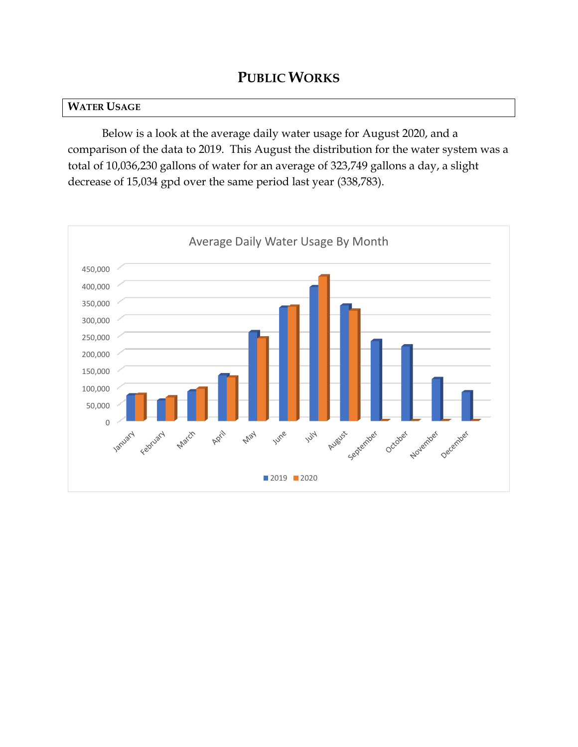### **WATER USAGE**

Below is a look at the average daily water usage for August 2020, and a comparison of the data to 2019. This August the distribution for the water system was a total of 10,036,230 gallons of water for an average of 323,749 gallons a day, a slight decrease of 15,034 gpd over the same period last year (338,783).

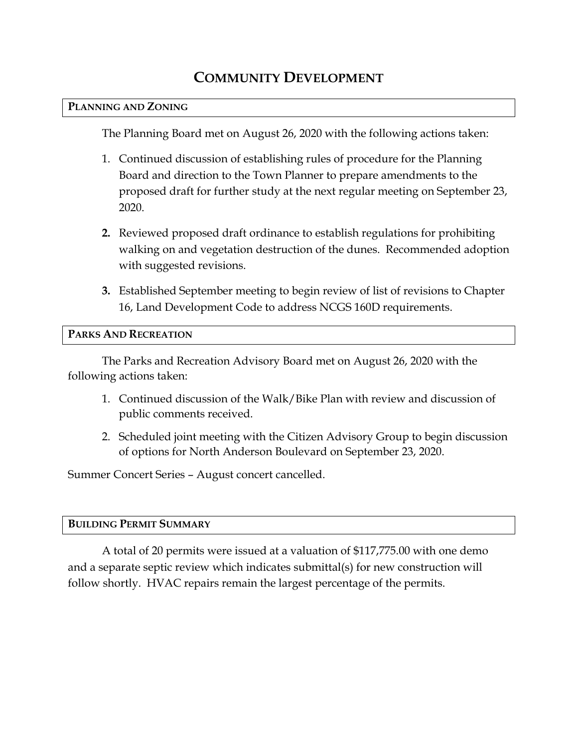# **COMMUNITY DEVELOPMENT**

#### **PLANNING AND ZONING**

The Planning Board met on August 26, 2020 with the following actions taken:

- 1. Continued discussion of establishing rules of procedure for the Planning Board and direction to the Town Planner to prepare amendments to the proposed draft for further study at the next regular meeting on September 23, 2020.
- **2.** Reviewed proposed draft ordinance to establish regulations for prohibiting walking on and vegetation destruction of the dunes. Recommended adoption with suggested revisions.
- **3.** Established September meeting to begin review of list of revisions to Chapter 16, Land Development Code to address NCGS 160D requirements.

### **PARKS AND RECREATION**

The Parks and Recreation Advisory Board met on August 26, 2020 with the following actions taken:

- 1. Continued discussion of the Walk/Bike Plan with review and discussion of public comments received.
- 2. Scheduled joint meeting with the Citizen Advisory Group to begin discussion of options for North Anderson Boulevard on September 23, 2020.

Summer Concert Series – August concert cancelled.

### **BUILDING PERMIT SUMMARY**

A total of 20 permits were issued at a valuation of \$117,775.00 with one demo and a separate septic review which indicates submittal(s) for new construction will follow shortly. HVAC repairs remain the largest percentage of the permits.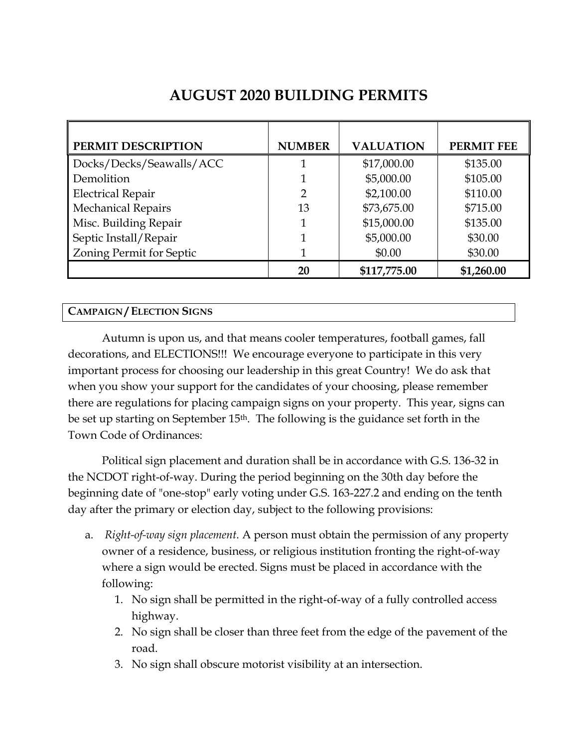| PERMIT DESCRIPTION        | <b>NUMBER</b>  | <b>VALUATION</b> | <b>PERMIT FEE</b> |
|---------------------------|----------------|------------------|-------------------|
| Docks/Decks/Seawalls/ACC  |                | \$17,000.00      | \$135.00          |
| Demolition                |                | \$5,000.00       | \$105.00          |
| <b>Electrical Repair</b>  | $\overline{2}$ | \$2,100.00       | \$110.00          |
| <b>Mechanical Repairs</b> | 13             | \$73,675.00      | \$715.00          |
| Misc. Building Repair     |                | \$15,000.00      | \$135.00          |
| Septic Install/Repair     |                | \$5,000.00       | \$30.00           |
| Zoning Permit for Septic  |                | \$0.00           | \$30.00           |
|                           | 20             | \$117,775.00     | \$1,260.00        |

## **AUGUST 2020 BUILDING PERMITS**

### **CAMPAIGN / ELECTION SIGNS**

Autumn is upon us, and that means cooler temperatures, football games, fall decorations, and ELECTIONS!!! We encourage everyone to participate in this very important process for choosing our leadership in this great Country! We do ask that when you show your support for the candidates of your choosing, please remember there are regulations for placing campaign signs on your property. This year, signs can be set up starting on September 15<sup>th</sup>. The following is the guidance set forth in the Town Code of Ordinances:

Political sign placement and duration shall be in accordance with G.S. 136-32 in the NCDOT right-of-way. During the period beginning on the 30th day before the beginning date of "one-stop" early voting under G.S. 163-227.2 and ending on the tenth day after the primary or election day, subject to the following provisions:

- a. *Right-of-way sign placement.* A person must obtain the permission of any property owner of a residence, business, or religious institution fronting the right-of-way where a sign would be erected. Signs must be placed in accordance with the following:
	- 1. No sign shall be permitted in the right-of-way of a fully controlled access highway.
	- 2. No sign shall be closer than three feet from the edge of the pavement of the road.
	- 3. No sign shall obscure motorist visibility at an intersection.